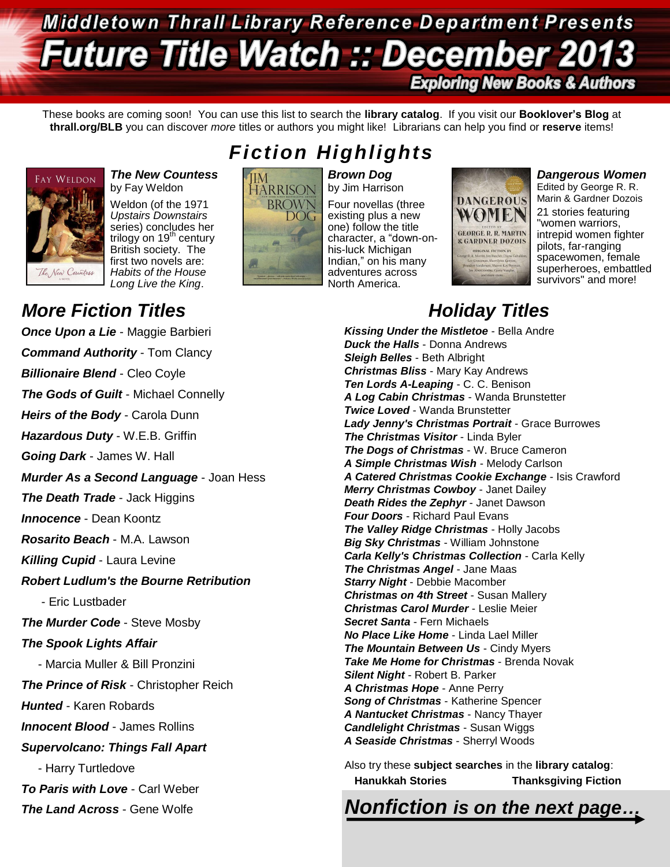# Middletown Thrall Library Reference Department Presents **Future Title Watch :: December 2013 Exploring New Books & Authors**

These books are coming soon! You can use this list to search the **library catalog**. If you visit our **Booklover's Blog** at **thrall.org/BLB** you can discover *more* titles or authors you might like! Librarians can help you find or **reserve** items!



*The New Countess* by Fay Weldon

Weldon (of the 1971 *Upstairs Downstairs* series) concludes her trilogy on  $19<sup>th</sup>$  century British society. The first two novels are: *Habits of the House Long Live the King*.

### *More Fiction Titles Holiday Titles*

*Once Upon a Lie* - Maggie Barbieri *Command Authority* - Tom Clancy *Billionaire Blend* - Cleo Coyle *The Gods of Guilt* - Michael Connelly *Heirs of the Body* - Carola Dunn *Hazardous Duty* - W.E.B. Griffin *Going Dark* - James W. Hall *Murder As a Second Language* - Joan Hess *The Death Trade* - Jack Higgins *Innocence* - Dean Koontz *Rosarito Beach* - M.A. Lawson *Killing Cupid* - Laura Levine *Robert Ludlum's the Bourne Retribution* - Eric Lustbader *The Murder Code* - Steve Mosby *The Spook Lights Affair* - Marcia Muller & Bill Pronzini *The Prince of Risk* - Christopher Reich *Hunted* - Karen Robards *Innocent Blood* - James Rollins *Supervolcano: Things Fall Apart* - Harry Turtledove *To Paris with Love* - Carl Weber *The Land Across* - Gene Wolfe

# *Fiction Highlights*



*Brown Dog* by Jim Harrison

Four novellas (three existing plus a new one) follow the title character, a "down-onhis-luck Michigan Indian," on his many adventures across North America.



### *Dangerous Women*

Edited by George R. R. Marin & Gardner Dozois 21 stories featuring "women warriors, intrepid women fighter pilots, far-ranging spacewomen, female superheroes, embattled survivors" and more!

*Kissing Under the Mistletoe* - Bella Andre *Duck the Halls* - Donna Andrews *Sleigh Belles* - Beth Albright *Christmas Bliss* - Mary Kay Andrews *Ten Lords A-Leaping* - C. C. Benison *A Log Cabin Christmas* - Wanda Brunstetter *Twice Loved* - Wanda Brunstetter *Lady Jenny's Christmas Portrait* - Grace Burrowes *The Christmas Visitor* - Linda Byler *The Dogs of Christmas* - W. Bruce Cameron *A Simple Christmas Wish* - Melody Carlson *A Catered Christmas Cookie Exchange* - Isis Crawford *Merry Christmas Cowboy* - Janet Dailey *Death Rides the Zephyr* - Janet Dawson *Four Doors* - Richard Paul Evans *The Valley Ridge Christmas* - Holly Jacobs *Big Sky Christmas* - William Johnstone *Carla Kelly's Christmas Collection* - Carla Kelly *The Christmas Angel* - Jane Maas *Starry Night* - Debbie Macomber *Christmas on 4th Street* - Susan Mallery *Christmas Carol Murder* - Leslie Meier *Secret Santa* - Fern Michaels *No Place Like Home* - Linda Lael Miller *The Mountain Between Us* - Cindy Myers *Take Me Home for Christmas* - Brenda Novak *Silent Night* - Robert B. Parker *A Christmas Hope* - Anne Perry *Song of Christmas* - Katherine Spencer *A Nantucket Christmas* - Nancy Thayer *Candlelight Christmas* - Susan Wiggs *A Seaside Christmas* - Sherryl Woods

Also try these **subject searches** in the **library catalog**: **Hanukkah Stories Thanksgiving Fiction**

*Nonfiction is on the next page…*